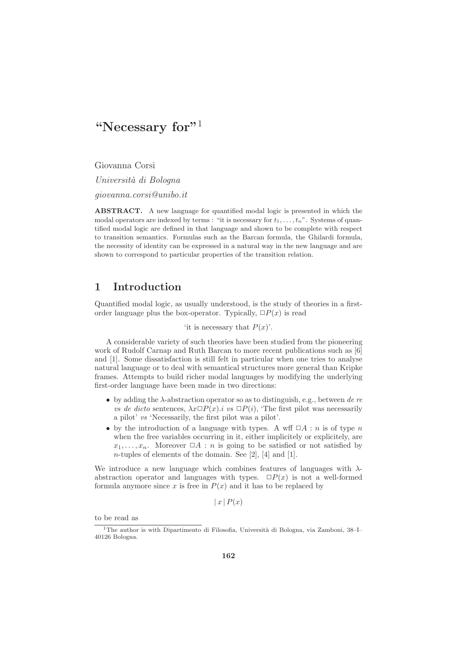Giovanna Corsi

Università di Bologna

giovanna.corsi@unibo.it

ABSTRACT. A new language for quantified modal logic is presented in which the modal operators are indexed by terms : "it is necessary for  $t_1, \ldots, t_n$ ". Systems of quantified modal logic are defined in that language and shown to be complete with respect to transition semantics. Formulas such as the Barcan formula, the Ghilardi formula, the necessity of identity can be expressed in a natural way in the new language and are shown to correspond to particular properties of the transition relation.

# 1 Introduction

Quantified modal logic, as usually understood, is the study of theories in a firstorder language plus the box-operator. Typically,  $\Box P(x)$  is read

'it is necessary that  $P(x)$ '.

A considerable variety of such theories have been studied from the pioneering work of Rudolf Carnap and Ruth Barcan to more recent publications such as [6] and [1]. Some dissatisfaction is still felt in particular when one tries to analyse natural language or to deal with semantical structures more general than Kripke frames. Attempts to build richer modal languages by modifying the underlying first-order language have been made in two directions:

- by adding the  $\lambda$ -abstraction operator so as to distinguish, e.g., between de re vs de dicto sentences,  $\lambda x \Box P(x)$ .*i* vs  $\Box P(i)$ , 'The first pilot was necessarily a pilot' vs 'Necessarily, the first pilot was a pilot'.
- by the introduction of a language with types. A wff  $\Box A : n$  is of type n when the free variables occurring in it, either implicitely or explicitely, are  $x_1, \ldots, x_n$ . Moreover  $\Box A : n$  is going to be satisfied or not satisfied by n-tuples of elements of the domain. See [2], [4] and [1].

We introduce a new language which combines features of languages with  $\lambda$ abstraction operator and languages with types.  $\Box P(x)$  is not a well-formed formula anymore since x is free in  $P(x)$  and it has to be replaced by

 $|x|P(x)$ 

to be read as

 $1$ The author is with Dipartimento di Filosofia, Università di Bologna, via Zamboni, 38–I– 40126 Bologna.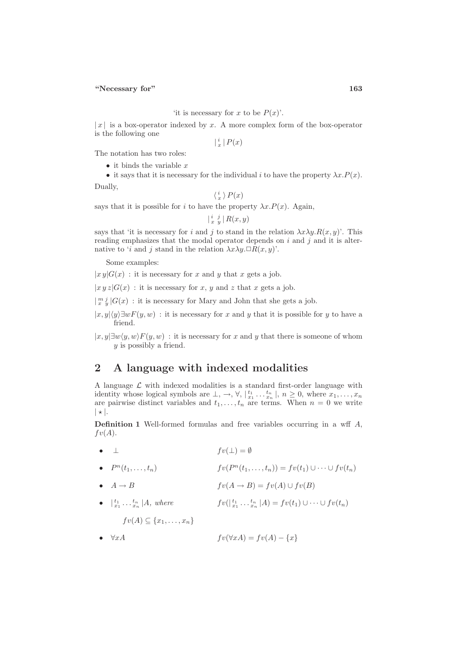#### 'it is necessary for x to be  $P(x)$ '.

 $|x|$  is a box-operator indexed by x. A more complex form of the box-operator is the following one

 $\vert \frac{i}{x} \vert P(x)$ 

The notation has two roles:

- $\bullet$  it binds the variable x
- it says that it is necessary for the individual i to have the property  $\lambda x.P(x)$ .

Dually,

$$
\langle \frac{i}{x} \rangle P(x)
$$

says that it is possible for i to have the property  $\lambda x.P(x)$ . Again,

 $\left| \begin{array}{cc} i & j \\ x & y \end{array} \right| R(x, y)$ 

says that 'it is necessary for i and j to stand in the relation  $\lambda x \lambda y.R(x, y)$ '. This reading emphasizes that the modal operator depends on  $i$  and  $j$  and it is alternative to 'i and j stand in the relation  $\lambda x \lambda y \Box R(x, y)$ '.

Some examples:

 $|x y|G(x)$ : it is necessary for x and y that x gets a job.

 $|x y z|G(x)$ : it is necessary for x, y and z that x gets a job.

 $\lfloor \frac{m}{x} \frac{j}{y} \rfloor G(x)$ : it is necessary for Mary and John that she gets a job.

 $|x, y| \langle y \rangle \exists w F(y, w)$ : it is necessary for x and y that it is possible for y to have a friend.

 $|x, y| \exists w \langle y, w \rangle F(y, w)$ : it is necessary for x and y that there is someone of whom y is possibly a friend.

# 2 A language with indexed modalities

A language  $\mathcal L$  with indexed modalities is a standard first-order language with identity whose logical symbols are  $\perp, \rightarrow, \forall, \vert_{x_1}^{t_1} \ldots x_n^{t_n} \vert, n \geq 0$ , where  $x_1, \ldots, x_n$ are pairwise distinct variables and  $t_1, \ldots, t_n$  are terms. When  $n = 0$  we write  $|\star|$ .

**Definition 1** Well-formed formulas and free variables occurring in a wff  $A$ ,  $fv(A).$ 

• 
$$
\perp
$$
  $fv(\perp) = \emptyset$ 

- $P^{n}(t_1, ..., t_n)$   $fv(P^{n}(t_1, ..., t_n)) = fv(t_1) \cup \cdots \cup fv(t_n)$
- $A \to B$  fv( $A \to B$ ) = fv( $A$ ) ∪ fv( $B$ )
- $|x_1 \dots x_n| A$ , where  $f v(|x_1 \dots x_n| A) = f v(t_1) \cup \dots \cup f v(t_n)$  $fv(A) \subseteq \{x_1, \ldots, x_n\}$
- $\forall x A$  fv( $\forall x A$ ) = fv(A) {x}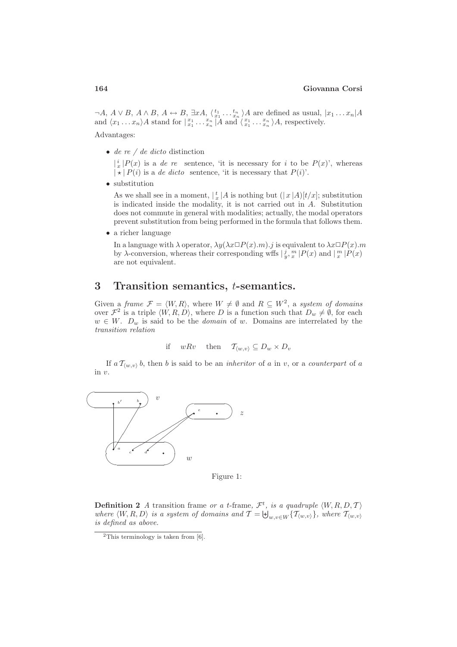$\neg A, A \lor B, A \land B, A \leftrightarrow B, \exists x A, \langle \frac{t_1}{x_1} \dots \frac{t_n}{x_n} \rangle A$  are defined as usual,  $|x_1 \dots x_n|A$ and  $\langle x_1 \dots x_n \rangle A$  stand for  $\left| \begin{array}{c} x_1 \\ x_1 \end{array} \dots \begin{array}{c} x_n \\ x_n \end{array} \right| A$  and  $\langle \begin{array}{c} x_1 \\ x_1 \end{array} \dots \begin{array}{c} x_n \\ x_n \end{array} \rangle A$ , respectively. Advantages:

• de re  $\ell$  de dicto distinction

 $\left| \frac{i}{x} \right| P(x)$  is a *de re* sentence, 'it is necessary for *i* to be  $P(x)$ ', whereas  $|\star| P(i)$  is a de dicto sentence, 'it is necessary that  $P(i)$ '.

• substitution

As we shall see in a moment,  $\frac{1}{x} |A|$  is nothing but  $(|x|A)[t/x]$ ; substitution is indicated inside the modality, it is not carried out in A. Substitution does not commute in general with modalities; actually, the modal operators prevent substitution from being performed in the formula that follows them.

• a richer language

In a language with  $\lambda$  operator,  $\lambda y(\lambda x \Box P(x).m).j$  is equivalent to  $\lambda x \Box P(x).m$ by  $\lambda$ -conversion, whereas their corresponding wffs  $|\frac{j}{y}, \frac{m}{x} |P(x)|$  and  $|\frac{m}{x} |P(x)|$ are not equivalent.

## 3 Transition semantics, t-semantics.

Given a frame  $\mathcal{F} = \langle W, R \rangle$ , where  $W \neq \emptyset$  and  $R \subseteq W^2$ , a system of domains over  $\mathcal{F}^2$  is a triple  $\langle W, R, D \rangle$ , where D is a function such that  $D_w \neq \emptyset$ , for each  $w \in W$ .  $D_w$  is said to be the *domain* of w. Domains are interrelated by the transition relation

if 
$$
wRv
$$
 then  $\mathcal{T}_{\langle w,v\rangle} \subseteq D_w \times D_v$ 

If  $a \mathcal{T}_{(w,v)} b$ , then b is said to be an *inheritor* of a in v, or a *counterpart* of a in v.



Figure 1:

**Definition 2** A transition frame or a t-frame,  $\mathcal{F}^t$ , is a quadruple  $\langle W, R, D, \mathcal{T} \rangle$ where  $\langle W, R, D \rangle$  is a system of domains and  $\mathcal{T} = \biguplus_{w,v \in W} \{\mathcal{T}_{\langle w,v\rangle}\}\$ , where  $\mathcal{T}_{\langle w,v\rangle}$ is defined as above.

<sup>&</sup>lt;sup>2</sup>This terminology is taken from  $[6]$ .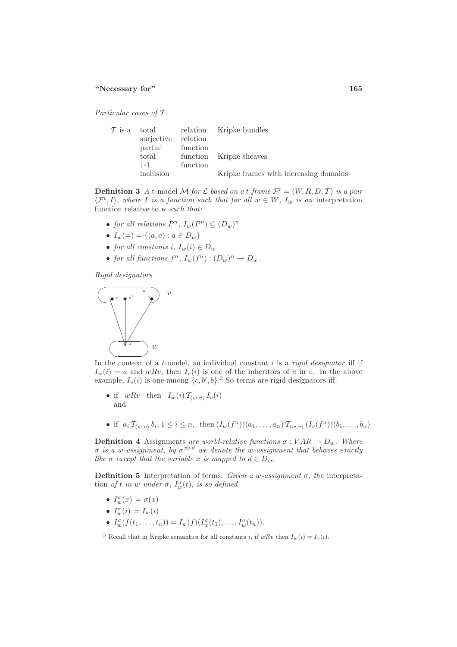Particular cases of  $T$ :

| surjective relation<br>partial function |          | $\mathcal{T}$ is a total relation Kripke bundles |
|-----------------------------------------|----------|--------------------------------------------------|
| total                                   |          | function Kripke sheaves                          |
| $1 - 1$<br>inclusion                    | function | Kripke frames with increasing domains            |

**Definition 3** A t-model M for L based on a t-frame  $\mathcal{F}^t = \langle W, R, D, T \rangle$  is a pair  $\langle \mathcal{F}^t, I \rangle$ , where I is a function such that for all  $w \in W$ ,  $I_w$  is an interpretation function relative to w such that:

- for all relations  $P^n$ ,  $I_w(P^n) \subseteq (D_w)^n$
- $I_w(=) = \{ \langle a, a \rangle : a \in D_w \}$
- for all constants i,  $I_w(i) \in D_w$
- for all functions  $f^n$ ,  $I_w(f^n) : (D_w)^n \to D_w$ .

Rigid designators



In the context of a  $t$ -model, an individual constant  $i$  is a *rigid designator* iff if  $I_w(i) = a$  and  $wRv$ , then  $I_v(i)$  is one of the inheritors of a in v. In the above example,  $I_v(i)$  is one among  $\{c, b', b\}$ .<sup>3</sup> So terms are rigid designators iff:

- if  $wRv$  then  $I_w(i) \mathcal{T}_{\langle w,v \rangle} I_v(i)$ and
- if  $a_i \mathcal{T}_{(w,v)} b_i, 1 \leq i \leq n$ , then  $(I_w(f^n))(a_1, \ldots, a_n) \mathcal{T}_{(w,v)} (I_v(f^n))(b_1, \ldots, b_n)$

**Definition 4** Assignments are world-relative functions  $\sigma : VAR \to D_w$ . Where σ is a w-assignment, by  $\sigma^{x\triangleright d}$  we denote the w-assignment that behaves exactly like  $\sigma$  except that the variable x is mapped to  $d \in D_w$ .

Definition 5 Interpretation of terms. Given a w-assignment  $\sigma$ , the interpretation of t in w under  $\sigma$ ,  $I_w^{\sigma}(t)$ , is so defined

- $I_w^{\sigma}(x) = \sigma(x)$
- $I_w^{\sigma}(i) = I_w(i)$
- $I_{w}^{\sigma}(f(t_1,...,t_n)) = I_{w}(f)(I_{w}^{\sigma}(t_1),...,I_{w}^{\sigma}(t_n)).$

<sup>&</sup>lt;sup>3</sup> Recall that in Kripke semantics for all constants i, if  $wRv$  then  $I_w(i) = I_v(i)$ .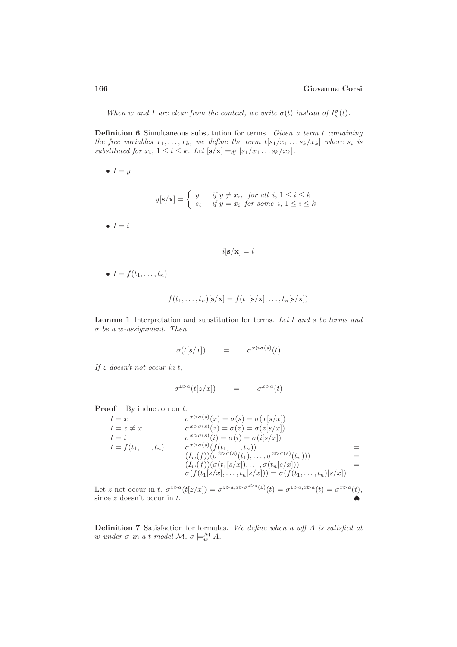When w and I are clear from the context, we write  $\sigma(t)$  instead of  $I_w^{\sigma}(t)$ .

**Definition 6** Simultaneous substitution for terms. Given a term  $t$  containing the free variables  $x_1, \ldots, x_k$ , we define the term  $t[s_1/x_1 \ldots s_k/x_k]$  where  $s_i$  is substituted for  $x_i$ ,  $1 \leq i \leq k$ . Let  $[\mathbf{s}/\mathbf{x}] =_{df} [s_1/x_1 \dots s_k/x_k]$ .

 $\bullet$   $t = y$ 

$$
y[\mathbf{s}/\mathbf{x}] = \begin{cases} y & \text{if } y \neq x_i, \text{ for all } i, 1 \leq i \leq k \\ s_i & \text{if } y = x_i \text{ for some } i, 1 \leq i \leq k \end{cases}
$$

 $\bullet$   $t = i$ 

$$
i[\mathbf{s}/\mathbf{x}] = i
$$

 $\bullet$   $t = f(t_1, \ldots, t_n)$ 

$$
f(t_1,\ldots,t_n)[\mathbf{s}/\mathbf{x}] = f(t_1[\mathbf{s}/\mathbf{x}],\ldots,t_n[\mathbf{s}/\mathbf{x}])
$$

**Lemma 1** Interpretation and substitution for terms. Let  $t$  and  $s$  be terms and  $\sigma$  be a w-assignment. Then

$$
\sigma(t[s/x]) = \sigma^{x \triangleright \sigma(s)}(t)
$$

If z doesn't not occur in t,

$$
\sigma^{z \triangleright a}(t[z/x]) = \sigma^{x \triangleright a}(t)
$$

**Proof** By induction on  $t$ .

$$
t = x \qquad \sigma^{x \triangleright \sigma(s)}(x) = \sigma(s) = \sigma(x[s/x])
$$
  
\n
$$
t = z \neq x \qquad \sigma^{x \triangleright \sigma(s)}(z) = \sigma(z) = \sigma(z[s/x])
$$
  
\n
$$
t = i \qquad \sigma^{x \triangleright \sigma(s)}(i) = \sigma(i) = \sigma(i[s/x])
$$
  
\n
$$
t = f(t_1, ..., t_n) \qquad \sigma^{x \triangleright \sigma(s)}(f(t_1, ..., t_n))
$$
  
\n
$$
(I_w(f))(\sigma^{x \triangleright \sigma(s)}(t_1), ..., \sigma^{x \triangleright \sigma(s)}(t_n)))
$$
  
\n
$$
(I_w(f))(\sigma(t_1[s/x]), ..., \sigma(t_n[s/x]))
$$
  
\n
$$
= \sigma(f(t_1, ..., t_n)[s/x])
$$

Let z not occur in t.  $\sigma^{z \triangleright a}(t[z/x]) = \sigma^{z \triangleright a, x \triangleright \sigma^{z \triangleright a}(z)}(t) = \sigma^{z \triangleright a, x \triangleright a}(t) = \sigma^{x \triangleright a}(t)$ , since  $z$  doesn't occur in  $t$ .

**Definition 7** Satisfaction for formulas. We define when a wff A is satisfied at w under  $\sigma$  in a t-model  $\mathcal{M}, \sigma \models_w^{\mathcal{M}} A$ .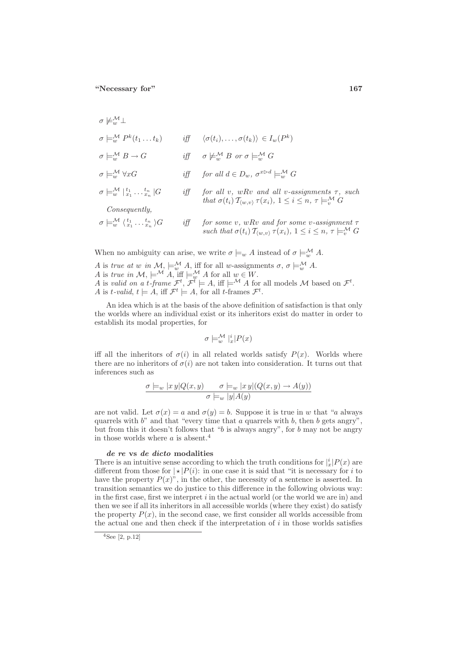$$
\sigma \nvDash_{w}^{\mathcal{M}} \bot
$$
\n
$$
\sigma \vDash_{w}^{\mathcal{M}} P^{k}(t_{1}...t_{k}) \qquad \text{iff} \qquad \langle \sigma(t_{i}),..., \sigma(t_{k}) \rangle \in I_{w}(P^{k})
$$
\n
$$
\sigma \vDash_{w}^{\mathcal{M}} B \to G \qquad \text{iff} \qquad \sigma \nvDash_{w}^{\mathcal{M}} B \text{ or } \sigma \vDash_{w}^{\mathcal{M}} G
$$
\n
$$
\sigma \vDash_{w}^{\mathcal{M}} \forall xG \qquad \text{iff} \qquad \text{for all } d \in D_{w}, \sigma^{x \triangleright d} \vDash_{w}^{\mathcal{M}} G
$$
\n
$$
\sigma \vDash_{w}^{\mathcal{M}} \vert t_{1}, \ldots t_{n} \vert G \qquad \text{iff} \qquad \text{for all } v, wRv \text{ and all } v\text{-assignment } \tau, \text{ such that } \sigma(t_{i}) \mathcal{T}_{\langle w,v \rangle} \tau(x_{i}), 1 \leq i \leq n, \tau \vDash_{v}^{\mathcal{M}} G
$$
\n
$$
\text{Consequently,}
$$
\n
$$
\sigma \vDash_{w}^{\mathcal{M}} \langle t_{1}, \ldots t_{n} \rangle G \qquad \text{iff} \qquad \text{for some } v, wRv \text{ and for some } v\text{-assignment } \tau \text{ such that } \sigma(t_{i}) \mathcal{T}_{\langle w,v \rangle} \tau(x_{i}), 1 \leq i \leq n, \tau \vDash_{v}^{\mathcal{M}} G
$$

When no ambiguity can arise, we write  $\sigma \models_w A$  instead of  $\sigma \models_w^{\mathcal{M}} A$ .

A is true at w in  $\mathcal{M}, \models_{w}^{\mathcal{M}} A$ , iff for all w-assignments  $\sigma, \sigma \models_{w}^{\mathcal{M}} A$ . A is true in  $\mathcal{M}, \models^{\mathcal{M}} A$ , iff  $\models^{\mathcal{M}}_{w} A$  for all  $w \in W$ . A is valid on a t-frame  $\mathcal{F}^t$ ,  $\mathcal{F}^t \models A$ , iff  $\models^{\mathcal{M}} A$  for all models  $\mathcal M$  based on  $\mathcal{F}^t$ . A is t-valid,  $t \models A$ , iff  $\mathcal{F}^t \models A$ , for all t-frames  $\mathcal{F}^t$ .

An idea which is at the basis of the above definition of satisfaction is that only the worlds where an individual exist or its inheritors exist do matter in order to establish its modal properties, for

$$
\sigma \models^{\mathcal{M}}_{w} \vert^i_x | P(x)
$$

iff all the inheritors of  $\sigma(i)$  in all related worlds satisfy  $P(x)$ . Worlds where there are no inheritors of  $\sigma(i)$  are not taken into consideration. It turns out that inferences such as

$$
\frac{\sigma \models_w |x\,y| Q(x,y) \qquad \sigma \models_w |x\,y| (Q(x,y) \to A(y))}{\sigma \models_w |y| A(y)}
$$

are not valid. Let  $\sigma(x) = a$  and  $\sigma(y) = b$ . Suppose it is true in w that "a always" quarrels with  $b$ " and that "every time that  $a$  quarrels with  $b$ , then  $b$  gets angry", but from this it doesn't follows that " $b$  is always angry", for  $b$  may not be angry in those worlds where  $a$  is absent.<sup>4</sup>

#### de re vs de dicto modalities

There is an intuitive sense according to which the truth conditions for  $\frac{|i|}{x}P(x)$  are different from those for  $\vert \star \vert P(i)$ : in one case it is said that "it is necessary for i to have the property  $P(x)$ ", in the other, the necessity of a sentence is asserted. In transition semantics we do justice to this difference in the following obvious way: in the first case, first we interpret  $i$  in the actual world (or the world we are in) and then we see if all its inheritors in all accessible worlds (where they exist) do satisfy the property  $P(x)$ , in the second case, we first consider all worlds accessible from the actual one and then check if the interpretation of  $i$  in those worlds satisfies

 $4$ See [2, p.12]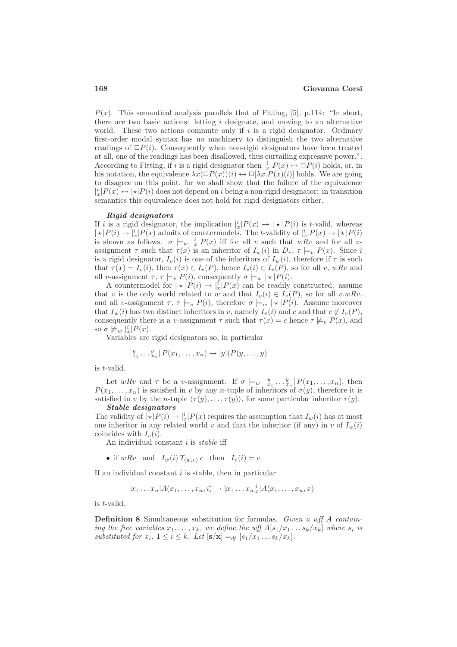$P(x)$ . This semantical analysis parallels that of Fitting, [5], p.114: "In short, there are two basic actions: letting  $i$  designate, and moving to an alternative world. These two actions commute only if  $i$  is a rigid designator. Ordinary first-order modal syntax has no machinery to distinguish the two alternative readings of  $\Box P(i)$ . Consequently when non-rigid designators have been treated at all, one of the readings has been disallowed, thus curtailing expressive power.". According to Fitting, if i is a rigid designator then  $\vert x \vert P(x) \leftrightarrow \Box P(i)$  holds, or, in his notation, the equivalence  $\lambda x(\Box P(x))(i) \leftrightarrow \Box[\lambda x.P(x)(i)]$  holds. We are going to disagree on this point, for we shall show that the failure of the equivalence  $\mathbf{E}[x] \mapsto |\star| P(i)$  does not depend on i being a non-rigid designator: in transition semantics this equivalence does not hold for rigid designators either.

#### Rigid designators

If i is a rigid designator, the implication  $\frac{1}{x} |P(x) \to | \star | P(i)$  is t-valid, whereas  $\vert \star \vert P(i) \to \vert_x^i \vert P(x)$  admits of countermodels. The t-validity of  $\vert_x^i \vert P(x) \to \vert \star \vert P(i)$ is shown as follows.  $\sigma \models_w \iota_x^* | P(x)$  iff for all v such that wRv and for all vassignment  $\tau$  such that  $\tau(x)$  is an inheritor of  $I_w(i)$  in  $D_v$ ,  $\tau \models_v P(x)$ . Since i is a rigid designator,  $I_v(i)$  is one of the inheritors of  $I_w(i)$ , therefore if  $\tau$  is such that  $\tau(x) = I_v(i)$ , then  $\tau(x) \in I_v(P)$ , hence  $I_v(i) \in I_v(P)$ , so for all v, wRv and all v-assignment  $\tau$ ,  $\tau \models_v P(i)$ , consequently  $\sigma \models_w |\star| P(i)$ .

A countermodel for  $|*|P(i) \to |_*^i|P(x)$  can be readily constructed: assume that v is the only world related to w and that  $I_v(i) \in I_v(P)$ , so for all v.wRv. and all v-assignment  $\tau$ ,  $\tau \models_v P(i)$ , therefore  $\sigma \models_w |\star| P(i)$ . Assume moreover that  $I_w(i)$  has two distinct inheritors in v, namely  $I_v(i)$  and c and that  $c \notin I_v(P)$ , consequently there is a v-assignment  $\tau$  such that  $\tau(x) = c$  hence  $\tau \not\models_{v} P(x)$ , and so  $\sigma \not\models_w \big|_x^i |P(x)|$ .

Variables are rigid designators so, in particular

$$
|y_{x_1} \dots y_{x_n}| P(x_1, \dots, x_n) \to |y| (P(y, \dots, y))
$$

is t-valid.

Let  $wRv$  and  $\tau$  be a v-assignment. If  $\sigma \models_w |_{x_1}^y \ldots x_n$ ,  $P(x_1, \ldots, x_n)$ , then  $P(x_1, \ldots, x_n)$  is satisfied in v by any n-tuple of inheritors of  $\sigma(y)$ , therefore it is satisfied in v by the n-tuple  $\langle \tau(y), \ldots, \tau(y) \rangle$ , for some particular inheritor  $\tau(y)$ . Stable designators

The validity of  $|\star|P(i) \to \frac{1}{x}|P(x)$  requires the assumption that  $I_w(i)$  has at most one inheritor in any related world v and that the inheritor (if any) in v of  $I_w(i)$ coincides with  $I_{\nu}(i)$ .

An individual constant  $i$  is stable iff

• if  $wRv$  and  $I_w(i) \mathcal{T}_{(w,v)} c$  then  $I_v(i) = c$ .

If an individual constant  $i$  is stable, then in particular

$$
|x_1 \dots x_n| A(x_1, \dots, x_n, i) \to |x_1 \dots x_n \n\cdot x| A(x_1, \dots, x_n, x)
$$

is t-valid.

Definition 8 Simultaneous substitution for formulas. Given a wff A containing the free variables  $x_1, \ldots, x_k$ , we define the wff  $A[s_1/x_1 \ldots s_k/x_k]$  where  $s_i$  is substituted for  $x_i$ ,  $1 \leq i \leq k$ . Let  $[\mathbf{s}/\mathbf{x}] =_{df} [s_1/x_1 \dots s_k/x_k]$ .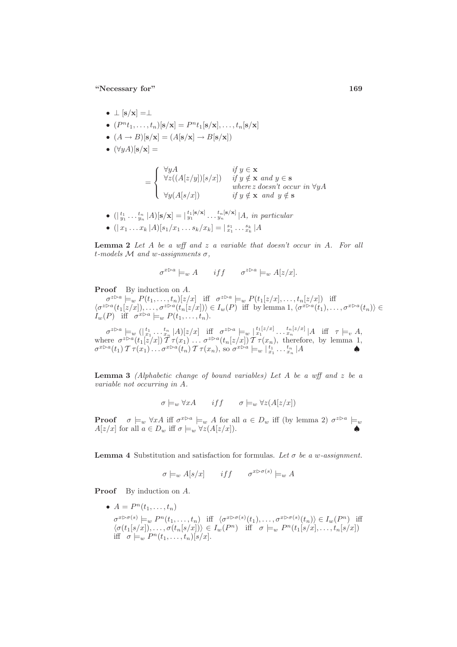- $\perp$   $[s/x] = \perp$
- $(P^{n}t_1, \ldots, t_n)[s/x] = P^{n}t_1[s/x], \ldots, t_n[s/x]$
- $(A \rightarrow B)[s/x] = (A[s/x] \rightarrow B[s/x])$
- $(\forall y A)[s/x] =$

$$
= \begin{cases} \forall y A & \text{if } y \in \mathbf{x} \\ \forall z ((A[z/y])[s/x]) & \text{if } y \notin \mathbf{x} \text{ and } y \in \mathbf{s} \\ \forall y (A[s/x]) & \text{if } y \notin \mathbf{x} \text{ and } y \notin \mathbf{s} \end{cases}
$$

- $(|\,_{y_1}^{t_1} \ldots \,_{y_n}^{t_n} |A) [\mathbf{s}/\mathbf{x}] = |\,_{y_1}^{t_1} \, \mathbf{s}/\mathbf{x}] \ldots \,_{y_n}^{t_n} \, |\mathbf{x}| \, |A, \text{ in particular}$
- $(|x_1 ... x_k|A)[s_1/x_1...s_k/x_k] = |\frac{s_1}{x_1} ... \frac{s_k}{x_k}|A$

**Lemma 2** Let  $A$  be a wff and  $z$  a variable that doesn't occur in  $A$ . For all t-models  $M$  and w-assignments  $\sigma$ ,

$$
\sigma^{x \triangleright a} \models_w A \qquad \text{if } f \qquad \sigma^{z \triangleright a} \models_w A[z/x].
$$

Proof By induction on A.

 $\sigma^{z \triangleright a} \models_{w} P(t_1, \ldots, t_n)[z/x]$  iff  $\sigma^{z \triangleright a} \models_{w} P(t_1[z/x], \ldots, t_n[z/x])$  iff  $\langle \sigma^{z\triangleright a}(t_1[z/x]), \ldots, \sigma^{z\triangleright a}(t_n[z/x]) \rangle \in I_w(P)$  iff by lemma 1,  $\langle \sigma^{x\triangleright a}(t_1), \ldots, \sigma^{x\triangleright a}(t_n) \rangle \in$  $I_w(P)$  iff  $\sigma^{x \triangleright a} \models_w P(t_1, \ldots, t_n).$ 

 $\sigma^{z\triangleright a} \models_v ( |_{x_1}^{t_1}, \ldots, _{x_n}^{t_n} |A) [z/x] \text{ iff } \sigma^{z\triangleright a} \models_v \bigcup_{x_1}^{t_1[z/x]} \ldots, _{x_n}^{t_n[z/x]} |A \text{ iff } \tau \models_v A,$ where  $\sigma^{z \triangleright a}(t_1[z/x])$   $\mathcal{T} \tau(x_1) \ldots \sigma^{z \triangleright a}(t_n[z/x])$   $\mathcal{T} \tau(x_n)$ , therefore, by lemma 1,  $\sigma^{x \triangleright a}(t_1) \mathcal{T} \tau(x_1) \ldots \sigma^{x \triangleright a}(t_n) \mathcal{T} \tau(x_n)$ , so  $\sigma^{x \triangleright a} \models_w \vert_{x_1}^{t_1} \ldots \vert_{x_n}^{t_n} \vert A$ 

**Lemma 3** (Alphabetic change of bound variables) Let A be a wff and z be a variable not occurring in A.

$$
\sigma \models_w \forall x A \qquad iff \qquad \sigma \models_w \forall z (A[z/x])
$$

**Proof**  $\sigma \models_w \forall xA$  iff  $\sigma^{x\triangleright a} \models_w A$  for all  $a \in D_w$  iff (by lemma 2)  $\sigma^{z\triangleright a} \models_w$  $A[z/x]$  for all  $a \in D_w$  iff  $\sigma \models_w \forall z (A[z/x])$ .

**Lemma 4** Substitution and satisfaction for formulas. Let  $\sigma$  be a w-assignment.

$$
\sigma \models_w A[s/x] \qquad \text{if } f \qquad \sigma^{x \triangleright \sigma(s)} \models_w A
$$

Proof By induction on A.

•  $A = P^n(t_1, ..., t_n)$  $\sigma^{x \triangleright \sigma(s)} \models_w P^n(t_1, \ldots, t_n)$  iff  $\langle \sigma^{x \triangleright \sigma(s)}(t_1), \ldots, \sigma^{x \triangleright \sigma(s)}(t_n) \rangle \in I_w(P^n)$  iff  $\langle \sigma(t_1[s/x]), \ldots, \sigma(t_n[s/x]) \rangle \in I_w(P^n)$  iff  $\sigma \models_w P^n(t_1[s/x], \ldots, t_n[s/x])$ iff  $\sigma \models_w P^n(t_1,\ldots,t_n)[s/x].$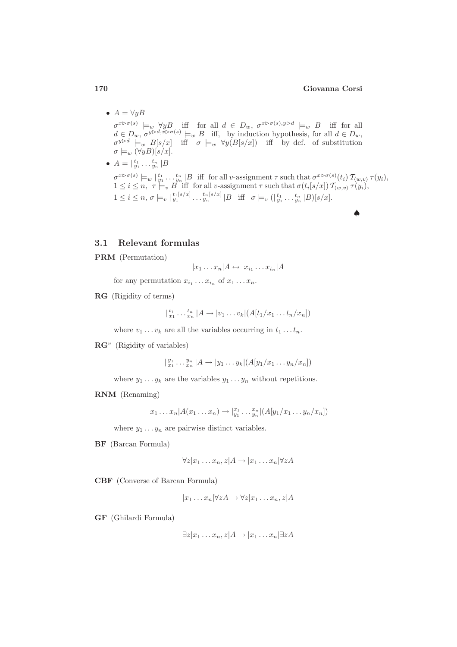### 170 Giovanna Corsi

♠

- $A = \forall y B$  $\sigma^{x \triangleright \sigma(s)} \models_{w} \forall y B$  iff for all  $d \in D_w$ ,  $\sigma^{x \triangleright \sigma(s), y \triangleright d} \models_{w} B$  iff for all  $d \in D_w$ ,  $\sigma^{y \triangleright d, x \triangleright \sigma(s)} \models_w B$  iff, by induction hypothesis, for all  $d \in D_w$ ,  $\sigma^{y \triangleright d}$   $\models_w B[s/x]$  iff  $\sigma \models_w \forall y(B[s/x])$  iff by def. of substitution  $\sigma \models_w (\forall y B)[s/x].$ •  $A = |\frac{t_1}{y_1} \dots \frac{t_n}{y_n}|B$ 
	- $\sigma^{x \triangleright \sigma(s)} \models_w \ket{\tfrac{t_1}{y_1} \ldots \tfrac{t_n}{y_n}}$  B iff for all v-assignment  $\tau$  such that  $\sigma^{x \triangleright \sigma(s)}(t_i)$   $\mathcal{T}_{\langle w, v \rangle} \tau(y_i)$ ,  $1 \leq i \leq n, \ \tau \models_v B$  iff for all v-assignment  $\tau$  such that  $\sigma(t_i[s/x]) \mathcal{T}_{\langle w,v\rangle} \tau(y_i)$ ,  $1 \leq i \leq n, \sigma \models_v |_{y_1}^{t_1[s/x]} \dots \frac{t_n[s/x]}{y_n} |B \text{ iff } \sigma \models_v (|_{y_1}^{t_1} \dots \frac{t_n}{y_n} |B) [s/x].$

#### 3.1 Relevant formulas

PRM (Permutation)

$$
|x_1 \dots x_n| A \leftrightarrow |x_{i_1} \dots x_{i_n}| A
$$

for any permutation  $x_{i_1} \ldots x_{i_n}$  of  $x_1 \ldots x_n$ .

RG (Rigidity of terms)

$$
|_{x_1}^{t_1} \dots,_{x_n}^{t_n} | A \to | v_1 \dots v_k | (A[t_1/x_1 \dots t_n/x_n])
$$

where  $v_1 \ldots v_k$  are all the variables occurring in  $t_1 \ldots t_n$ .

 $\mathbf{R}\mathbf{G}^v$  (Rigidity of variables)

$$
| \, \mathbf{y}_{1}^{y_{1}} \ldots \mathbf{y}_{n}^{y_{n}} \, | A \rightarrow | y_{1} \ldots y_{k} | (A[y_{1}/x_{1} \ldots y_{n}/x_{n}])
$$

where  $y_1 \ldots y_k$  are the variables  $y_1 \ldots y_n$  without repetitions.

#### RNM (Renaming)

 $|x_1 \dots x_n| A(x_1 \dots x_n) \to |_{y_1}^{x_1} \dots x_n| (A[y_1/x_1 \dots y_n/x_n])$ 

where  $y_1 \ldots y_n$  are pairwise distinct variables.

BF (Barcan Formula)

 $\forall z | x_1 \dots x_n, z | A \rightarrow | x_1 \dots x_n | \forall z A$ 

CBF (Converse of Barcan Formula)

 $|x_1 \dots x_n| \forall z A \rightarrow \forall z | x_1 \dots x_n, z | A$ 

GF (Ghilardi Formula)

$$
\exists z | x_1 \dots x_n, z | A \rightarrow | x_1 \dots x_n | \exists z A
$$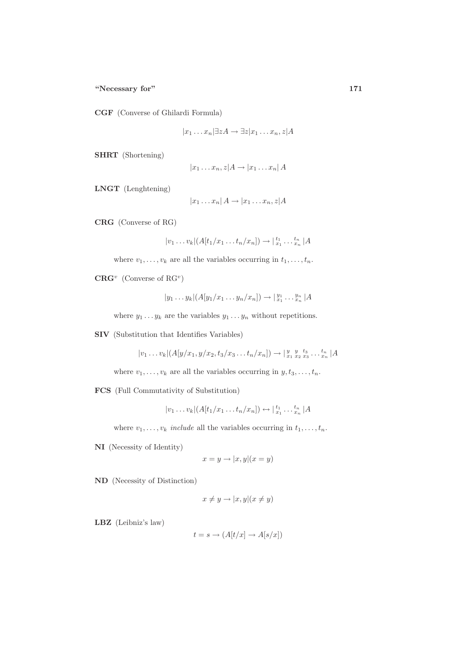CGF (Converse of Ghilardi Formula)

$$
|x_1 \dots x_n| \exists z A \rightarrow \exists z | x_1 \dots x_n, z | A
$$

SHRT (Shortening)

$$
|x_1 \dots x_n, z|A \to |x_1 \dots x_n|A
$$

LNGT (Lenghtening)

$$
|x_1 \dots x_n| A \to |x_1 \dots x_n, z| A
$$

CRG (Converse of RG)

$$
|v_1 \dots v_k| (A[t_1/x_1 \dots t_n/x_n]) \rightarrow |_{x_1}^{t_1} \dots {_{x_n}^{t_n}} |A
$$

where  $v_1, \ldots, v_k$  are all the variables occurring in  $t_1, \ldots, t_n$ .

 $CRG<sup>v</sup>$  (Converse of RG<sup>v</sup>)

$$
|y_1 \dots y_k| (A[y_1/x_1 \dots y_n/x_n]) \rightarrow |_{x_1}^{y_1} \dots y_n^{y_n} | A
$$

where  $y_1 \t ... y_k$  are the variables  $y_1 ... y_n$  without repetitions.

SIV (Substitution that Identifies Variables)

$$
|v_1 \dots v_k|
$$
 $(A[y/x_1, y/x_2, t_3/x_3 \dots t_n/x_n]) \rightarrow |{y \ y \ t_3 \ x_2 \ x_3 \dots \ x_n} |A$ 

where  $v_1, \ldots, v_k$  are all the variables occurring in  $y, t_3, \ldots, t_n$ .

FCS (Full Commutativity of Substitution)

$$
|v_1 \dots v_k| (A[t_1/x_1 \dots t_n/x_n]) \leftrightarrow |_{x_1}^{t_1} \dots {_{x_n}^{t_n}} |A|
$$

where  $v_1, \ldots, v_k$  include all the variables occurring in  $t_1, \ldots, t_n$ .

NI (Necessity of Identity)

$$
x = y \rightarrow |x, y|(x = y)
$$

ND (Necessity of Distinction)

$$
x \neq y \rightarrow |x, y|(x \neq y)
$$

LBZ (Leibniz's law)

$$
t=s\to (A[t/x]\to A[s/x])
$$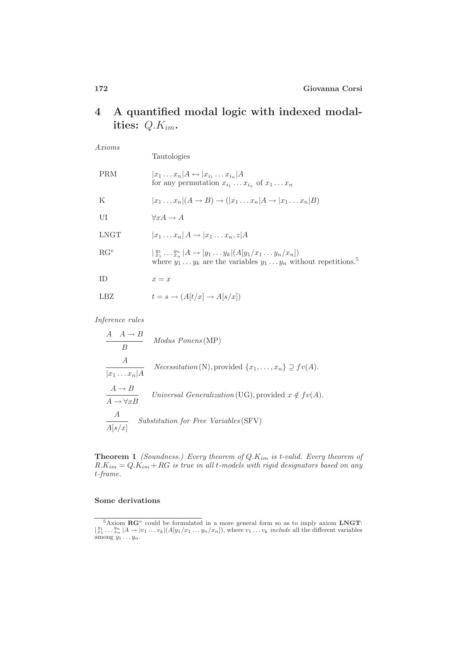# 4 A quantified modal logic with indexed modalities: Q.Kim.

Axioms

|                   | Tautologies                                                                                                                                                      |
|-------------------|------------------------------------------------------------------------------------------------------------------------------------------------------------------|
| PRM               | $ x_1 \dots x_n $ $A \leftrightarrow  x_{i_1} \dots x_{i_n} $ $A$<br>for any permutation $x_{i_1} \ldots x_{i_n}$ of $x_1 \ldots x_n$                            |
| K                 | $ x_1 \dots x_n (A \rightarrow B) \rightarrow ( x_1 \dots x_n A \rightarrow  x_1 \dots x_n B)$                                                                   |
| UI                | $\forall x A \rightarrow A$                                                                                                                                      |
| $_{\rm LNGT}$     | $ x_1 \dots x_n $ $A \rightarrow  x_1 \dots x_n, z $ $A$                                                                                                         |
| $\mathrm{RG}^{v}$ | $ y_1^1 \dots y_n^n $ $A \to  y_1 \dots y_k $ $(A[y_1/x_1 \dots y_n/x_n])$<br>where $y_1 \t  y_k$ are the variables $y_1  y_n$ without repetitions. <sup>5</sup> |
| ΙD                | $x = x$                                                                                                                                                          |
| LBZ               | $t = s \rightarrow (A[t/x] \rightarrow A[s/x])$                                                                                                                  |

Inference rules

$$
\begin{array}{ll}\nA & A \rightarrow B \\
B & \text{Modus Ponens (MP)} \\
\hline\nA & \vert x_1 \dots x_n \vert A \\
\hline\nA \rightarrow B & \text{Universal Generalization (UG), provided } x \notin fv(A).\n\end{array}
$$
\n
$$
\begin{array}{ll}\nA \rightarrow B \\
\hline\nA \rightarrow \forall x B & \text{Universal Generalization (UG), provided } x \notin fv(A).\n\end{array}
$$
\n
$$
\begin{array}{ll}\nA & \text{Substitution for Free Variables (SFV)} \\
\hline\n\end{array}
$$

**Theorem 1** (Soundness.) Every theorem of  $Q$ . $K_{im}$  is t-valid. Every theorem of  $R.K_{im} = Q.K_{im} + RG$  is true in all t-models with rigid designators based on any t-frame.

### Some derivations

 ${}^{5}$ Axiom  $\mathbf{R}\mathbf{G}^{v}$  could be formulated in a more general form so as to imply axiom LNGT:  $|\frac{y_1}{x_1} \dots x_n| |A \to |v_1 \dots v_k| (A[y_1/x_1 \dots y_n/x_n]),$  where  $v_1 \dots v_k$  include all the different variables among  $y_1 \dots y_n$ .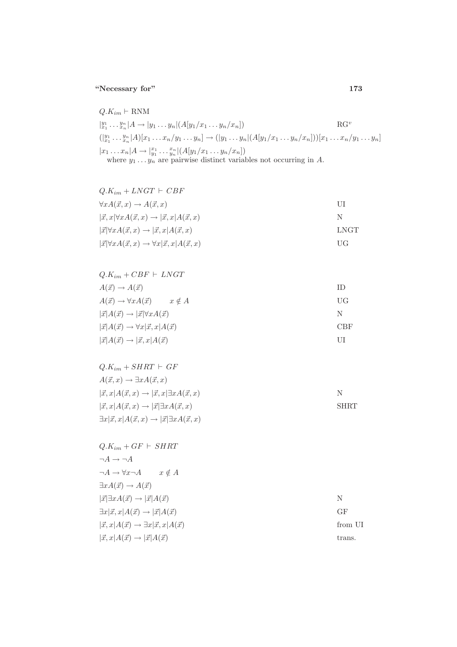$$
Q.K_{im} \vdash \text{RNM}
$$
  
\n
$$
|y_1 \ldots y_n| A \to |y_1 \ldots y_n| (A[y_1/x_1 \ldots y_n/x_n])
$$
  
\n
$$
(|y_1 \ldots y_n| A) [x_1 \ldots x_n/y_1 \ldots y_n] \to (|y_1 \ldots y_n| (A[y_1/x_1 \ldots y_n/x_n])) [x_1 \ldots x_n/y_1 \ldots y_n]
$$
  
\n
$$
|x_1 \ldots x_n| A \to |y_1 \ldots y_n| (A[y_1/x_1 \ldots y_n/x_n])
$$
  
\nwhere  $y_1 \ldots y_n$  are pairwise distinct variables not occurring in A.

| $Q.K_{im} + LNGT + CBF$                                                        |      |
|--------------------------------------------------------------------------------|------|
| $\forall x A(\vec{x}, x) \rightarrow A(\vec{x}, x)$                            | UI   |
| $ \vec{x}, x  \forall x A(\vec{x}, x) \rightarrow  \vec{x}, x  A(\vec{x}, x)$  | N    |
| $ \vec{x}  \forall x A(\vec{x}, x) \rightarrow  \vec{x}, x  A(\vec{x}, x)$     | LNGT |
| $ \vec{x} \forall x A(\vec{x},x) \rightarrow \forall x \vec{x},x A(\vec{x},x)$ | HG   |

| $Q.K_{im} + CBF + LNGT$                                           |            |
|-------------------------------------------------------------------|------------|
| $A(\vec{x}) \rightarrow A(\vec{x})$                               | ΙD         |
| $A(\vec{x}) \rightarrow \forall x A(\vec{x}) \qquad x \notin A$   | UG         |
| $ \vec{x} A(\vec{x}) \rightarrow  \vec{x}  \forall x A(\vec{x})$  | N          |
| $ \vec{x} A(\vec{x}) \rightarrow \forall x \vec{x}, x A(\vec{x})$ | <b>CBF</b> |
| $ \vec{x} A(\vec{x}) \rightarrow  \vec{x}, x A(\vec{x})$          | UІ         |
|                                                                   |            |

| $Q.K_{im} + SHRT + GF$                                                          |             |
|---------------------------------------------------------------------------------|-------------|
| $A(\vec{x},x) \rightarrow \exists x A(\vec{x},x)$                               |             |
| $ \vec{x}, x A(\vec{x}, x) \rightarrow  \vec{x}, x  \exists x A(\vec{x}, x)$    | N.          |
| $ \vec{x}, x A(\vec{x}, x) \rightarrow  \vec{x}  \exists x A(\vec{x}, x)$       | <b>SHRT</b> |
| $\exists x \vec{x}, x A(\vec{x},x) \rightarrow  \vec{x} \exists x A(\vec{x},x)$ |             |

| $Q.K_{im} + GF + SHRT$                                               |         |
|----------------------------------------------------------------------|---------|
| $\neg A \rightarrow \neg A$                                          |         |
| $\neg A \to \forall x \neg A \qquad x \notin A$                      |         |
| $\exists x A(\vec{x}) \rightarrow A(\vec{x})$                        |         |
| $ \vec{x}  \exists x A(\vec{x}) \rightarrow  \vec{x}  A(\vec{x})$    | N       |
| $\exists x \vec{x},x A(\vec{x}) \rightarrow  \vec{x} A(\vec{x})$     | GF      |
| $ \vec{x}, x A(\vec{x}) \rightarrow \exists x \vec{x}, x A(\vec{x})$ | from UI |
| $ \vec{x}, x A(\vec{x}) \rightarrow  \vec{x} A(\vec{x})$             | trans.  |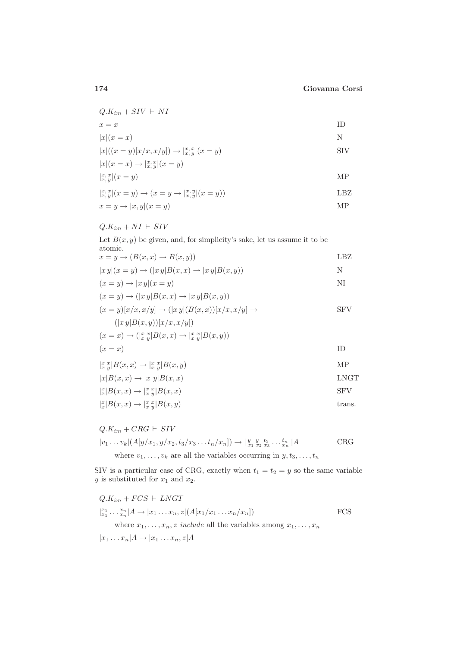| $Q.K_{im} + SIV \vdash NI$                                 |     |
|------------------------------------------------------------|-----|
| $x = x$                                                    | ΙD  |
| $ x (x=x)$                                                 | N   |
| $ x ((x = y)[x/x, x/y]) \rightarrow  _{x,y}^{x,x} (x = y)$ | SIV |
| $ x (x=x) \to  _{x,y}^{x,x} (x=y)$                         |     |
| $\int_{x,y}^{x,x}  (x=y) $                                 | MР  |

$$
\begin{aligned} \n|x, y(x = y) &\to (x = y \to |x, y|(x = y))\\ \n\text{LBZ} \\ \n\text{LBZ} \\ \n\text{MP} \n\end{aligned}
$$

$$
Q.K_{im} + NI \vdash SIV
$$

Let  $B(x, y)$  be given, and, for simplicity's sake, let us assume it to be atomic.

 $x = y \rightarrow (B(x, x) \rightarrow B(x, y))$  LBZ

$$
|x y|(x = y) \to (|x y|B(x, x) \to |x y|B(x, y))
$$
  
\n
$$
(x = y) \to |x y|(x = y)
$$
  
\nNI

$$
(x = y) \rightarrow (|xy|B(x, x) \rightarrow |xy|B(x, y))
$$

$$
(x = y)[x/x, x/y] \rightarrow (|x y|(B(x, x))[x/x, x/y] \rightarrow
$$
 SFV  

$$
(|x y|B(x, y))[x/x, x/y])
$$

$$
(x = x) \rightarrow (\vert x \vert_x^x \vert B(x, x) \rightarrow \vert x \vert_x^x \vert B(x, y))
$$
  
(x = x) ID

$$
\begin{aligned}\n|x \, y|B(x,x) \to |x \, y|B(x,y) & \text{MP} \\
|x|B(x,x) \to |x \, y|B(x,x) & \text{LMGT}\n\end{aligned}
$$

$$
\begin{aligned} \n|_x^x |B(x, x) \to |_x^x |B(x, x) && \text{SFV} \\ \n|_x^x |B(x, x) \to |_x^x |B(x, y) && \text{trans.} \n\end{aligned}
$$

$$
Q.K_{im} + CRG \vdash SIV
$$
  

$$
|v_1 \dots v_k| (A[y/x_1, y/x_2, t_3/x_3 \dots t_n/x_n]) \rightarrow |{}^{y}_{x_1} \, {}^{y}_{x_2} \, {}^{t_3}_{x_3} \dots {}^{t_n}_{x_n} | A
$$
CRG  
where  $v_1, \dots, v_k$  are all the variables occurring in  $y, t_3, \dots, t_n$ 

SIV is a particular case of CRG, exactly when  $t_1 = t_2 = y$  so the same variable  $y$  is substituted for  $x_1$  and  $x_2$ .

$$
Q.K_{im} + FCS \vdash LNGT
$$
  
\n
$$
|x_1 \dots x_n| A \to |x_1 \dots x_n, z| (A[x_1/x_1 \dots x_n/x_n])
$$
  
\n
$$
|x_2 \dots x_n| A \to |x_1 \dots x_n, z| (A[x_1/x_1 \dots x_n/x_n])
$$
  
\n
$$
FCS
$$
  
\nwhere  $x_1, \dots, x_n, z$  include all the variables among  $x_1, \dots, x_n$ 

 $|x_1 \dots x_n|A \rightarrow |x_1 \dots x_n, z|A$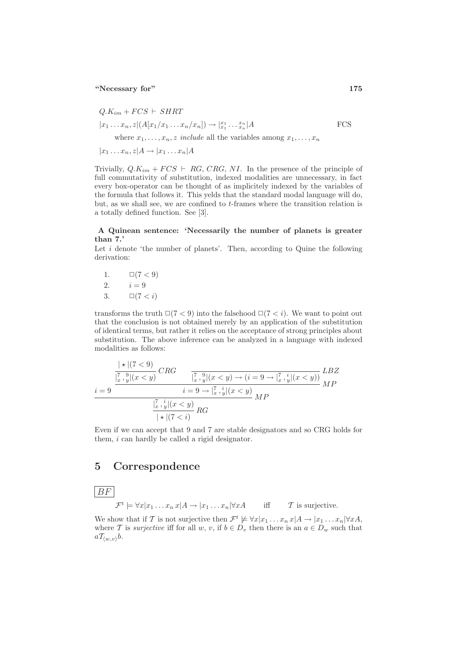$$
Q.K_{im} + FCS \vdash SHRT
$$
  
\n
$$
|x_1 \dots x_n, z|(A[x_1/x_1 \dots x_n/x_n]) \to |x_1 \dots x_n|A
$$
  
\nwhere  $x_1, \dots, x_n, z$  include all the variables among  $x_1, \dots, x_n$   
\n
$$
|x_1 \dots x_n, z|A \to |x_1 \dots x_n|A
$$
  
\nFCS

Trivially,  $Q.K_{im} + FCS \vdash RG$ , CRG, NI. In the presence of the principle of full commutativity of substitution, indexed modalities are unnecessary, in fact every box-operator can be thought of as implicitely indexed by the variables of the formula that follows it. This yelds that the standard modal language will do, but, as we shall see, we are confined to t-frames where the transition relation is a totally defined function. See [3].

## A Quinean sentence: 'Necessarily the number of planets is greater than 7.'

Let  $i$  denote 'the number of planets'. Then, according to Quine the following derivation:

1. 
$$
\Box(7 < 9)
$$
  
\n2.  $i = 9$   
\n3.  $\Box(7 < i)$ 

transforms the truth  $\Box(7 < 9)$  into the falsehood  $\Box(7 < i)$ . We want to point out that the conclusion is not obtained merely by an application of the substitution of identical terms, but rather it relies on the acceptance of strong principles about substitution. The above inference can be analyzed in a language with indexed modalities as follows:

$$
\frac{i+|(7<9)}{\frac{|\stackrel{?}{x},\stackrel{9}{y}|(x\n
$$
\frac{i=9}{\frac{|\stackrel{?}{x},\stackrel{9}{y}|(x\n
$$
\frac{1}{\frac{|\stackrel{?}{x},\stackrel{i}{y}|(x\nLBT
$$
$$
$$

Even if we can accept that 9 and 7 are stable designators and so CRG holds for them, i can hardly be called a rigid designator.

## 5 Correspondence

 $BF$ 

$$
\mathcal{F}^t \models \forall x | x_1 \dots x_n \, x | A \rightarrow | x_1 \dots x_n | \forall x A \qquad \text{iff} \qquad \mathcal{T} \text{ is surjective.}
$$

We show that if T is not surjective then  $\mathcal{F}^t \not\models \forall x | x_1 \dots x_n x | A \rightarrow |x_1 \dots x_n| \forall x A$ , where T is surjective iff for all w, v, if  $b \in D_v$  then there is an  $a \in D_w$  such that  $aT_{\langle w,v\rangle}b.$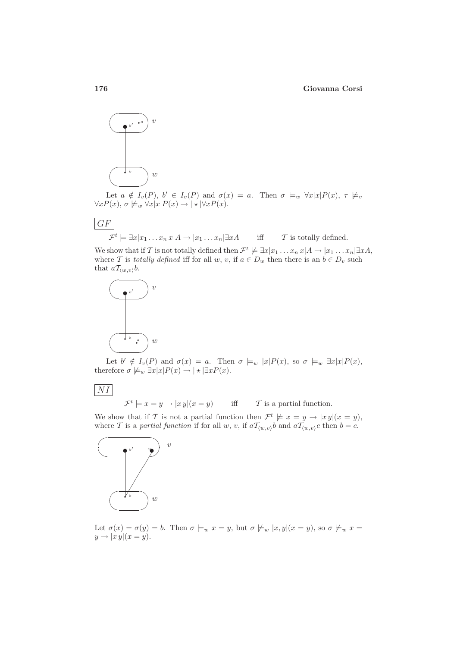### 176 Giovanna Corsi



Let  $a \notin I_v(P)$ ,  $b' \in I_v(P)$  and  $\sigma(x) = a$ . Then  $\sigma \models_w \forall x |x| P(x)$ ,  $\tau \not\models_v \exists y$  $\forall x P(x), \sigma \not\models_w \forall x |x| P(x) \rightarrow | \star | \forall x P(x).$ 

$$
\frac{\boxed{GF}}{\mathcal{F}^t} \models \exists x | x_1 \dots x_n \, x | A \rightarrow | x_1 \dots x_n | \exists x A \quad \text{iff} \quad \mathcal{T} \text{ is totally defined.}
$$

We show that if T is not totally defined then  $\mathcal{F}^t \not\models \exists x | x_1 \dots x_n x | A \rightarrow |x_1 \dots x_n| \exists x A,$ where T is totally defined iff for all w, v, if  $a \in D_w$  then there is an  $b \in D_v$  such that  $aT_{\langle w,v\rangle}b$ .



Let  $b' \notin I_v(P)$  and  $\sigma(x) = a$ . Then  $\sigma \models_w |x|P(x)$ , so  $\sigma \models_w \exists x |x|P(x)$ , therefore  $\sigma \not\models_w \exists x |x| P(x) \rightarrow | \star | \exists x P(x)$ .

 $|NI|$ 

 $\mathcal{F}^t \models x = y \rightarrow |xy|(x = y)$  iff  $\mathcal{T}$  is a partial function.

We show that if T is not a partial function then  $\mathcal{F}^t \not\models x = y \rightarrow |xy|(x = y)$ , where T is a partial function if for all w, v, if  $aT_{(w,v)}b$  and  $aT_{(w,v)}c$  then  $b = c$ .



Let  $\sigma(x) = \sigma(y) = b$ . Then  $\sigma \models_w x = y$ , but  $\sigma \not\models_w |x, y|(x = y)$ , so  $\sigma \not\models_w x =$  $y \rightarrow |x y|(x = y).$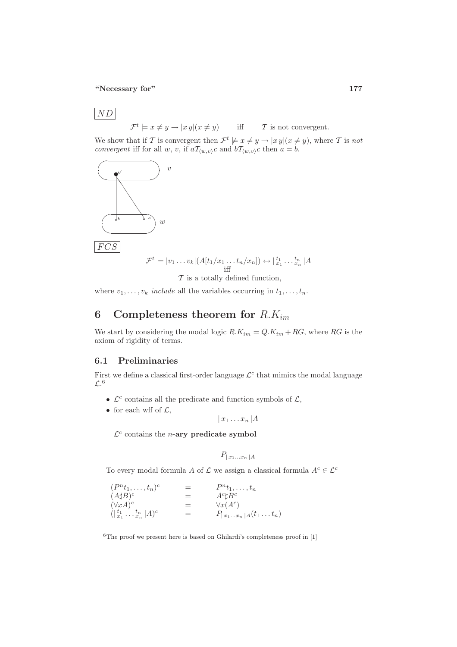$\boxed{ND}$ 

 $\mathcal{F}^t \models x \neq y \rightarrow |x|y | (x \neq y)$  iff  $\mathcal{T}$  is not convergent.

We show that if T is convergent then  $\mathcal{F}^t \not\models x \neq y \rightarrow |x y| (x \neq y)$ , where T is not convergent iff for all w, v, if  $a\mathcal{T}_{(w,v)}c$  and  $b\mathcal{T}_{(w,v)}c$  then  $a = b$ .



where  $v_1, \ldots, v_k$  include all the variables occurring in  $t_1, \ldots, t_n$ .

# 6 Completeness theorem for  $R.K_{im}$

We start by considering the modal logic  $R.K_{im} = Q.K_{im} + RG$ , where RG is the axiom of rigidity of terms.

## 6.1 Preliminaries

First we define a classical first-order language  $\mathcal{L}^c$  that mimics the modal language  $\mathcal{L}$ <sup>6</sup>

- $\mathcal{L}^c$  contains all the predicate and function symbols of  $\mathcal{L}$ ,
- for each wff of  $\mathcal{L}$ ,

 $|x_1 \dots x_n|$   $A$ 

 $\mathcal{L}^c$  contains the *n*-ary predicate symbol

$$
P_{|x_1...x_n} | A
$$

To every modal formula A of  $\mathcal L$  we assign a classical formula  $A^c \in \mathcal L^c$ 

| $(P^{n}t_1,\ldots,t_n)^c$                                                                                  | $=$ | $P^n t_1, \ldots, t_n$  |
|------------------------------------------------------------------------------------------------------------|-----|-------------------------|
| $(A\sharp B)^c$                                                                                            | $=$ | $A^c \sharp B^c$        |
| $(\forall x A)^c$                                                                                          | $=$ | $\forall x(A^c)$        |
| $(\vert \begin{array}{c} t_1 \\ x_1 \end{array} \ldots \begin{array}{c} t_n \\ x_n \end{array} \vert A)^c$ | =   | $P_{ x_1x_n A}(t_1t_n)$ |

 $6$ The proof we present here is based on Ghilardi's completeness proof in [1]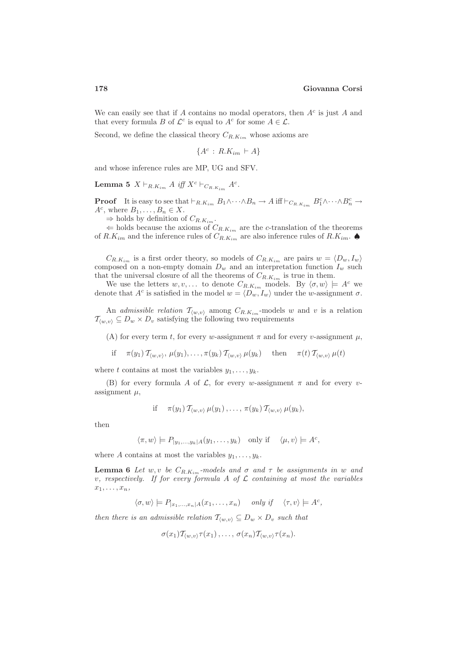We can easily see that if A contains no modal operators, then  $A<sup>c</sup>$  is just A and that every formula B of  $\mathcal{L}^c$  is equal to  $A^c$  for some  $A \in \mathcal{L}$ .

Second, we define the classical theory  $C_{R,K_{im}}$  whose axioms are

 ${A^c : R.K_{im} \vdash A}$ 

and whose inference rules are MP, UG and SFV.

**Lemma 5**  $X \vdash_{R.Kim} A$  iff  $X^c \vdash_{C_{R.Kim}} A^c$ .

**Proof** It is easy to see that  $\vdash_{R.K_{im}} B_1 \wedge \cdots \wedge B_n \to A$  iff  $\vdash_{C_{R.K_{im}}} B_1^c \wedge \cdots \wedge B_n^c \to A$  $A^c$ , where  $B_1, \ldots, B_n \in X$ .

 $\Rightarrow$  holds by definition of  $C_{R,K_{im}}$ .

 $\Leftarrow$  holds because the axioms of  $C_{R,K_{im}}$  are the c-translation of the theorems of  $R.K_{im}$  and the inference rules of  $C_{R.K_{im}}$  are also inference rules of  $R.K_{im}$ .

 $C_{R,K_{im}}$  is a first order theory, so models of  $C_{R,K_{im}}$  are pairs  $w = \langle D_w, I_w \rangle$ composed on a non-empty domain  $D_w$  and an interpretation function  $I_w$  such that the universal closure of all the theorems of  $C_{R. K_{im}}$  is true in them.

We use the letters  $w, v, \ldots$  to denote  $C_{R.K_{im}}$  models. By  $\langle \sigma, w \rangle \models A^c$  we denote that  $A^c$  is satisfied in the model  $w = \langle D_w, I_w \rangle$  under the w-assignment  $\sigma$ .

An *admissible relation*  $T_{(w,v)}$  among  $C_{R,K,m}$ -models w and v is a relation  $\mathcal{T}_{(w,v)} \subseteq D_w \times D_v$  satisfying the following two requirements

(A) for every term t, for every w-assignment  $\pi$  and for every v-assignment  $\mu$ ,

if  $\pi(y_1)$   $\mathcal{T}_{(w,v)}, \mu(y_1), \ldots, \pi(y_k)$   $\mathcal{T}_{(w,v)}$   $\mu(y_k)$  then  $\pi(t)$   $\mathcal{T}_{(w,v)}$   $\mu(t)$ 

where t contains at most the variables  $y_1, \ldots, y_k$ .

(B) for every formula A of  $\mathcal{L}$ , for every w-assignment  $\pi$  and for every vassignment  $\mu$ .

if 
$$
\pi(y_1) \mathcal{T}_{\langle w,v \rangle} \mu(y_1), \ldots, \pi(y_k) \mathcal{T}_{\langle w,v \rangle} \mu(y_k),
$$

then

$$
\langle \pi, w \rangle \models P_{|y_1, ..., y_k|A}(y_1, ..., y_k)
$$
 only if  $\langle \mu, v \rangle \models A^c$ ,

where A contains at most the variables  $y_1, \ldots, y_k$ .

**Lemma 6** Let  $w, v$  be  $C_{R,K_{im}}$ -models and  $\sigma$  and  $\tau$  be assignments in  $w$  and v, respectively. If for every formula A of  $\mathcal L$  containing at most the variables  $x_1, \ldots, x_n$ 

 $\langle \sigma, w \rangle \models P_{|x_1,...,x_n|A}(x_1,...,x_n)$  only if  $\langle \tau, v \rangle \models A^c$ ,

then there is an admissible relation  $T_{(w,v)} \subseteq D_w \times D_v$  such that

$$
\sigma(x_1) \mathcal{T}_{\langle w,v \rangle} \tau(x_1), \ldots, \sigma(x_n) \mathcal{T}_{\langle w,v \rangle} \tau(x_n)
$$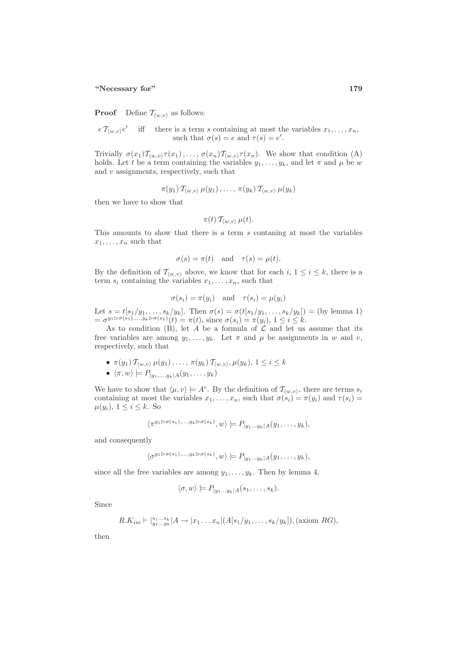**Proof** Define  $\mathcal{T}_{\langle w,v\rangle}$  as follows:

 $e T_{(w,v)}e'$  iff there is a term s containing at most the variables  $x_1, \ldots, x_n$ , such that  $\sigma(s) = e$  and  $\tau(s) = e'$ .

Trivially  $\sigma(x_1) \mathcal{T}_{(w,v)} \tau(x_1), \ldots, \sigma(x_n) \mathcal{T}_{(w,v)} \tau(x_n)$ . We show that condition (A) holds. Let t be a term containing the variables  $y_1, \ldots, y_k$ , and let  $\pi$  and  $\mu$  be w and  $v$  assignments, respectively, such that

$$
\pi(y_1) \, \mathcal{T}_{\langle w,v \rangle} \, \mu(y_1) \, , \ldots, \, \pi(y_k) \, \mathcal{T}_{\langle w,v \rangle} \, \mu(y_k)
$$

then we have to show that

$$
\pi(t) \, \mathcal{T}_{\langle w,v \rangle} \, \mu(t).
$$

This amounts to show that there is a term s contaning at most the variables  $x_1, \ldots, x_n$  such that

$$
\sigma(s) = \pi(t) \quad \text{and} \quad \tau(s) = \mu(t).
$$

By the definition of  $\mathcal{T}_{\langle w,v\rangle}$  above, we know that for each  $i, 1 \leq i \leq k$ , there is a term  $s_i$  containing the variables  $x_1, \ldots, x_n$ , such that

$$
\sigma(s_i) = \pi(y_i)
$$
 and  $\tau(s_i) = \mu(y_i)$ 

Let  $s = t[s_1/y_1, \ldots, s_k/y_k]$ . Then  $\sigma(s) = \sigma(t[s_1/y_1, \ldots, s_k/y_k]) = (by \text{ lemma 1})$  $= \sigma^{y_1 \triangleright \sigma(s_1),...,y_k \triangleright \sigma(s_k)}(t) = \pi(t), \text{ since } \sigma(s_i) = \pi(y_i), 1 \le i \le k.$ 

As to condition (B), let  $A$  be a formula of  $C$  and let us assume that its free variables are among  $y_1, \ldots, y_k$ . Let  $\pi$  and  $\mu$  be assignments in  $w$  and  $v$ , respectively, such that

- $\pi(y_1)$   $\mathcal{T}_{(w,v)}$   $\mu(y_1), \ldots, \pi(y_k)$   $\mathcal{T}_{(w,v)}, \mu(y_k), 1 \leq i \leq k$
- $\langle \pi, w \rangle \models P_{|y_1,...,y_k|A}(y_1,..., y_k)$

We have to show that  $\langle \mu, v \rangle \models A^c$ . By the definition of  $\mathcal{T}_{(w,v)}$ , there are terms  $s_i$ containing at most the variables  $x_1, \ldots, x_n$ , such that  $\sigma(s_i) = \pi(y_i)$  and  $\tau(s_i) =$  $\mu(y_i)$ ,  $1 \leq i \leq k$ . So

$$
\langle \pi^{y_1 \triangleright \sigma(s_1), \dots, y_k \triangleright \sigma(s_k)}, w \rangle \models P_{|y_1 \dots y_k|A}(y_1, \dots, y_k),
$$

and consequently

$$
\langle \sigma^{y_1 \triangleright \sigma(s_1), \dots, y_k \triangleright \sigma(s_k)}, w \rangle \models P_{|y_1 \dots y_k|A}(y_1, \dots, y_k),
$$

since all the free variables are among  $y_1, \ldots, y_k$ . Then by lemma 4,

$$
\langle \sigma, w \rangle \models P_{|y_1...y_k|A}(s_1,...,s_k).
$$

Since

$$
R.K_{im} \vdash |_{y_1...y_k}^{s_1...s_k} | A \rightarrow |x_1...x_n| (A[s_1/y_1,...,s_k/y_k]), \text{(axiom } RG),
$$

then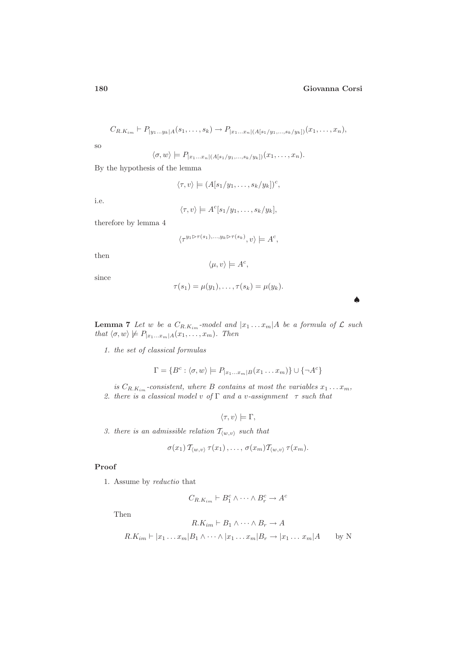$$
C_{R,K_{im}} \vdash P_{|y_1...y_k|A}(s_1,...,s_k) \to P_{|x_1...x_n|(A[s_1/y_1,...,s_k/y_k])}(x_1,...,x_n),
$$

so

$$
\langle \sigma, w \rangle \models P_{|x_1...x_n|(A[s_1/y_1,...,s_k/y_k])}(x_1,...,x_n).
$$

By the hypothesis of the lemma

$$
\langle \tau, v \rangle \models (A[s_1/y_1, \ldots, s_k/y_k])^c,
$$

i.e.

$$
\langle \tau, v \rangle \models A^c[s_1/y_1, \ldots, s_k/y_k],
$$

therefore by lemma 4

$$
\langle \tau^{y_1 \triangleright \tau(s_1), \dots, y_k \triangleright \tau(s_k)}, v \rangle \models A^c,
$$

then

$$
\langle \mu, v \rangle \models A^c,
$$

since

$$
\tau(s_1)=\mu(y_1),\ldots,\tau(s_k)=\mu(y_k).
$$

♠

**Lemma 7** Let w be a  $C_{R,K_{im}}$ -model and  $|x_1 \dots x_m|$  *A* be a formula of  $\mathcal{L}$  such that  $\langle \sigma, w \rangle \not\models P_{|x_1...x_m|A}(x_1,...,x_m)$ . Then

1. the set of classical formulas

$$
\Gamma = \{B^c : \langle \sigma, w \rangle \models P_{|x_1...x_m|B}(x_1...x_m)\} \cup \{\neg A^c\}
$$

is  $C_{R,K_{im}}$ -consistent, where B contains at most the variables  $x_1 \ldots x_m$ , 2. there is a classical model v of  $\Gamma$  and a v-assignment  $\tau$  such that

$$
\langle \tau, v \rangle \models \Gamma,
$$

3. there is an admissible relation  $T_{\langle w,v \rangle}$  such that

$$
\sigma(x_1) T_{\langle w,v\rangle} \tau(x_1), \ldots, \sigma(x_m) T_{\langle w,v\rangle} \tau(x_m).
$$

## Proof

1. Assume by reductio that

$$
C_{R,K_{im}} \vdash B_1^c \wedge \cdots \wedge B_r^c \to A^c
$$

Then

$$
R.K_{im} \vdash B_1 \land \cdots \land B_r \to A
$$
  

$$
R.K_{im} \vdash |x_1 \dots x_m| B_1 \land \cdots \land |x_1 \dots x_m| B_r \to |x_1 \dots x_m| A \qquad \text{by N}
$$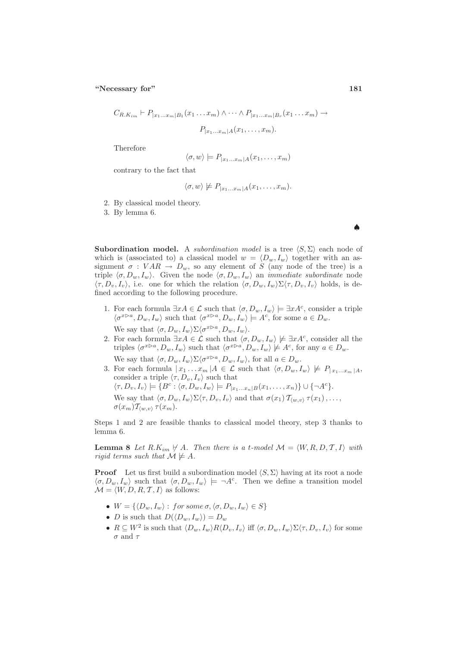$$
C_{R.K_{im}} \vdash P_{|x_1...x_m|B_1}(x_1...x_m) \land \cdots \land P_{|x_1...x_m|B_r}(x_1...x_m) \rightarrow
$$

$$
P_{|x_1...x_m|A}(x_1,...,x_m).
$$

Therefore

$$
\langle \sigma, w \rangle \models P_{|x_1...x_m|A}(x_1,...,x_m)
$$

contrary to the fact that

$$
\langle \sigma, w \rangle \not\models P_{|x_1...x_m|A}(x_1,...,x_m).
$$

2. By classical model theory.

3. By lemma 6.

**Subordination model.** A *subordination model* is a tree  $\langle S, \Sigma \rangle$  each node of which is (associated to) a classical model  $w = \langle D_w, I_w \rangle$  together with an assignment  $\sigma : VAR \to D_w$ , so any element of S (any node of the tree) is a triple  $\langle \sigma, D_w, I_w \rangle$ . Given the node  $\langle \sigma, D_w, I_w \rangle$  an *immediate subordinate* node  $\langle \tau, D_v, I_v \rangle$ , i.e. one for which the relation  $\langle \sigma, D_w, I_w \rangle \Sigma \langle \tau, D_v, I_v \rangle$  holds, is defined according to the following procedure.

- 1. For each formula  $\exists x A \in \mathcal{L}$  such that  $\langle \sigma, D_w, I_w \rangle \models \exists x A^c$ , consider a triple  $\langle \sigma^{x\triangleright a}, D_w, I_w \rangle$  such that  $\langle \sigma^{x\triangleright a}, D_w, I_w \rangle \models A^c$ , for some  $a \in D_w$ . We say that  $\langle \sigma, D_w, I_w \rangle \Sigma \langle \sigma^{x \triangleright a}, D_w, I_w \rangle$ .
- 2. For each formula  $\exists x A \in \mathcal{L}$  such that  $\langle \sigma, D_w, I_w \rangle \not\models \exists x A^c$ , consider all the triples  $\langle \sigma^{x\triangleright a}, D_w, I_w \rangle$  such that  $\langle \sigma^{x\triangleright a}, D_w, I_w \rangle \not\models A^c$ , for any  $a \in D_w$ . We say that  $\langle \sigma, D_w, I_w \rangle \Sigma \langle \sigma^{x \triangleright a}, D_w, I_w \rangle$ , for all  $a \in D_w$ .
- 3. For each formula  $|x_1 \dots x_m| A \in \mathcal{L}$  such that  $\langle \sigma, D_w, I_w \rangle \not\models P_{|x_1 \dots x_m|A}$ , consider a triple  $\langle \tau, D_v, I_v \rangle$  such that  $\langle \tau, D_v, I_v \rangle \models \{B^c : \langle \sigma, D_w, I_w \rangle \models P_{|x_1...x_n|B}(x_1,...,x_n) \} \cup \{\neg A^c\}.$ We say that  $\langle \sigma, D_w, I_w \rangle \Sigma \langle \tau, D_v, I_v \rangle$  and that  $\sigma(x_1)$   $\mathcal{T}_{\langle w, v \rangle}$   $\tau(x_1), \ldots,$  $\sigma(x_m)$  $\mathcal{T}_{\langle w,v\rangle}$   $\tau(x_m)$ .

Steps 1 and 2 are feasible thanks to classical model theory, step 3 thanks to lemma 6.

**Lemma 8** Let  $R.K_{im} \nvdash A$ . Then there is a t-model  $\mathcal{M} = \langle W, R, D, T, I \rangle$  with rigid terms such that  $\mathcal{M} \not\models A$ .

**Proof** Let us first build a subordination model  $\langle S, \Sigma \rangle$  having at its root a node  $\langle \sigma, D_w, I_w \rangle$  such that  $\langle \sigma, D_w, I_w \rangle \models \neg A^c$ . Then we define a transition model  $\mathcal{M} = \langle W, D, R, T, I \rangle$  as follows:

- $W = \{ \langle D_w, I_w \rangle : \text{ for some } \sigma, \langle \sigma, D_w, I_w \rangle \in S \}$
- *D* is such that  $D(\langle D_w, I_w \rangle) = D_w$
- $R \subseteq W^2$  is such that  $\langle D_w, I_w \rangle R \langle D_v, I_v \rangle$  iff  $\langle \sigma, D_w, I_w \rangle \Sigma \langle \tau, D_v, I_v \rangle$  for some  $\sigma$  and  $\tau$

♠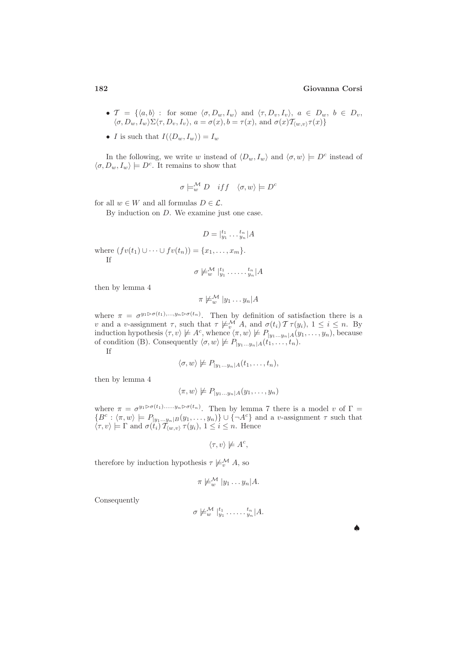- $\mathcal{T} = \{ \langle a, b \rangle : \text{ for some } \langle \sigma, D_w, I_w \rangle \text{ and } \langle \tau, D_v, I_v \rangle, a \in D_w, b \in D_v, \}$  $\langle \sigma, D_w, I_w \rangle \Sigma \langle \tau, D_v, I_v \rangle, a = \sigma(x), b = \tau(x), \text{ and } \sigma(x) \mathcal{T}_{\langle w, v \rangle} \tau(x) \}$
- I is such that  $I(\langle D_w, I_w \rangle) = I_w$

In the following, we write w instead of  $\langle D_w, I_w \rangle$  and  $\langle \sigma, w \rangle \models D^c$  instead of  $\langle \sigma, D_w, I_w \rangle \models D^c$ . It remains to show that

$$
\sigma \models_w^{\mathcal{M}} D \quad if f \quad \langle \sigma, w \rangle \models D^c
$$

for all  $w \in W$  and all formulas  $D \in \mathcal{L}$ .

By induction on D. We examine just one case.

$$
D = |_{y_1}^{t_1} \dots,_{y_n}^{t_n}|A
$$

where  $(fv(t_1) \cup \cdots \cup fv(t_n)) = \{x_1, \ldots, x_m\}.$ If

 $\sigma \not\models_{w}^{\mathcal{M}} l_{y_1}^{t_1}.\dots l_{y_n}^{t_n}|A$ 

then by lemma 4

$$
\pi \not\models_w^{\mathcal{M}} |y_1 \dots y_n| A
$$

where  $\pi = \sigma^{y_1 \triangleright \sigma(t_1), \dots, y_n \triangleright \sigma(t_n)}$ . Then by definition of satisfaction there is a v and a v-assignment  $\tau$ , such that  $\tau \not\models_v^{\mathcal{M}} A$ , and  $\sigma(t_i) \mathcal{T} \tau(y_i)$ ,  $1 \leq i \leq n$ . By induction hypothesis  $\langle \tau, v \rangle \not\models A^c$ , whence  $\langle \pi, w \rangle \not\models P_{|y_1...y_n|A}(y_1,..., y_n)$ , because of condition (B). Consequently  $\langle \sigma, w \rangle \not\models P_{|y_1...y_n|A}(t_1, \ldots, t_n)$ . If

$$
\langle \sigma, w \rangle \not\models P_{|y_1...y_n|A}(t_1,...,t_n),
$$

then by lemma 4

$$
\langle \pi, w \rangle \not\models P_{|y_1...y_n|A}(y_1,..., y_n)
$$

where  $\pi = \sigma^{y_1 \triangleright \sigma(t_1) \dots y_n \triangleright \sigma(t_n)}$ . Then by lemma 7 there is a model v of  $\Gamma =$  ${B^c : \langle \pi, w \rangle \models P_{|y_1...y_n|B}(y_1,...,y_n) \} \cup {\neg A^c}$  and a v-assignment  $\tau$  such that  $\langle \tau, v \rangle \models \Gamma$  and  $\sigma(t_i)$   $\mathcal{T}_{\langle w, v \rangle}$   $\tau(y_i)$ ,  $1 \leq i \leq n$ . Hence

$$
\langle \tau, v \rangle \not\models A^c,
$$

therefore by induction hypothesis  $\tau \not\models_{n}^{\mathcal{M}} A$ , so

$$
\pi \not\models_w^{\mathcal{M}} |y_1 \ldots y_n| A.
$$

Consequently

$$
\sigma \not\models_{w}^{\mathcal{M}} l_{y_1}^{t_1} \ldots l_{y_n}^{t_n} | A.
$$

♠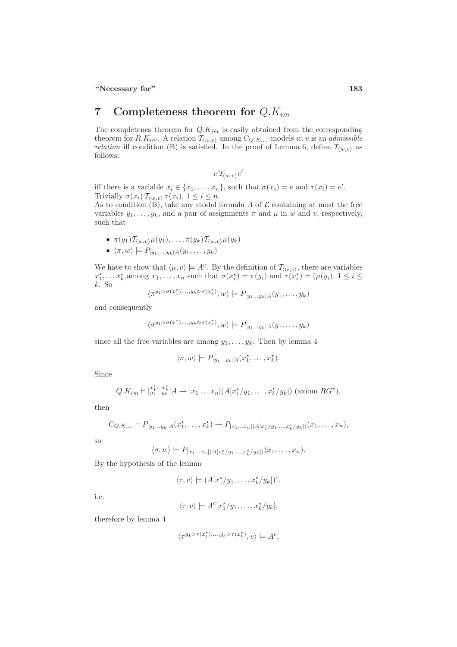# 7 Completeness theorem for  $Q.K_{im}$

The completenes theorem for  $Q.K_{im}$  is easily obtained from the corresponding theorem for  $R.K_{im}$ . A relation  $\mathcal{T}_{\langle w,v\rangle}$  among  $C_{Q.K_{im}}$ -models  $w, v$  is an admissible relation iff condition (B) is satisfied. In the proof of Lemma 6, define  $\mathcal{T}_{\langle w,v\rangle}$  as follows:

$$
e\mathop{\mathcal{T}}\nolimits_{\langle w,v\rangle}e'
$$

iff there is a variable  $x_i \in \{x_1, \ldots, x_n\}$ , such that  $\sigma(x_i) = e$  and  $\tau(x_i) = e'$ . Trivially  $\sigma(x_i)$   $\mathcal{T}_{\langle w,v\rangle}$   $\tau(x_i)$ ,  $1 \leq i \leq n$ .

As to condition  $(B)$ , take any modal formula A of  $\mathcal L$  containing at most the free variables  $y_1, \ldots, y_k$ , and a pair of assignments  $\pi$  and  $\mu$  in  $w$  and  $v$ , respectively, such that

•  $\pi(y_1) \mathcal{T}_{\langle w,v \rangle} \mu(y_1), \ldots, \pi(y_k) \mathcal{T}_{\langle w,v \rangle} \mu(y_k)$  $\bullet \langle \pi, w \rangle \models P_{|y_1,...,y_k|A}(y_1,...,y_k)$ 

We have to show that  $\langle \mu, v \rangle \models A^c$ . By the definition of  $\mathcal{T}_{\langle w, v \rangle}$ , there are variables  $x_1^*, \ldots x_k^*$  among  $x_1, \ldots, x_n$  such that  $\sigma(x_i^*) = \pi(y_i)$  and  $\tau(x_i^*) = (\mu(y_i), 1 \le i \le n)$ k. So

$$
\langle \pi^{y_1 \triangleright \sigma(x_1^*)}, \dots, y_k \triangleright \sigma(x_k^*)}, w \rangle \models P_{|y_1 \dots y_k|A}(y_1, \dots, y_k)
$$

and consequently

$$
\langle \sigma^{y_1 \triangleright \sigma(x_1^*)}, \ldots, y_k \triangleright \sigma(x_k^*)}, w \rangle \models P_{|y_1 \ldots y_k|A}(y_1, \ldots, y_k)
$$

since all the free variables are among  $y_1, \ldots, y_k$ . Then by lemma 4

$$
\langle \sigma, w \rangle \models P_{|y_1...y_k|A}(x_1^*, \ldots, x_k^*).
$$

Since

$$
Q.K_{im} \vdash |_{y_1...y_k}^{x_1^*,...x_k^*}|A \to |x_1...x_n|(A[x_1^{\star}/y_1,...,x_k^{\star}/y_k])
$$
 (axiom  $RG^v$ ),

then

$$
C_{Q,K_{im}} \vdash P_{|y_1...y_k|A}(x_1^*, \ldots, x_k^*) \to P_{|x_1...x_n|(A[x_1^*/y_1,\ldots,x_k^*/y_k])}(x_1,\ldots,x_n),
$$

so

$$
\langle \sigma, w \rangle \models P_{|x_1...x_n|(A[x_1^{\star}/y_1,...,x_k^{\star}/y_k])}(x_1,...,x_n).
$$

By the hypothesis of the lemma

$$
\langle \tau, v \rangle \models (A[x_1^{\star}/y_1, \ldots, x_k^{\star}/y_k])^c,
$$

i.e.

$$
\langle \tau, v \rangle \models A^c[x_1^{\star}/y_1, \ldots, x_k^{\star}/y_k],
$$

therefore by lemma 4

$$
\langle \tau^{y_1 \triangleright \tau(x_1^\star), \dots, y_k \triangleright \tau(x_k^\star)}, v \rangle \models A^c,
$$